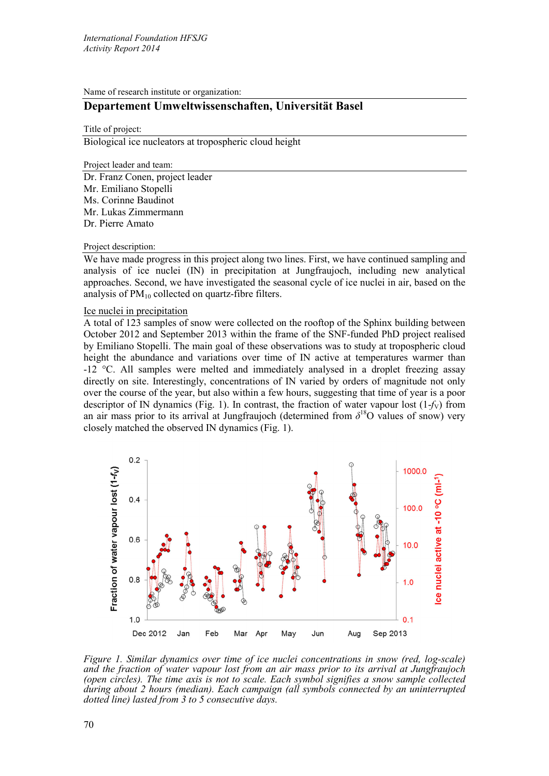Name of research institute or organization:

# **Departement Umweltwissenschaften, Universität Basel**

Title of project:

Biological ice nucleators at tropospheric cloud height

Project leader and team:

Dr. Franz Conen, project leader Mr. Emiliano Stopelli Ms. Corinne Baudinot Mr. Lukas Zimmermann Dr. Pierre Amato

#### Project description:

We have made progress in this project along two lines. First, we have continued sampling and analysis of ice nuclei (IN) in precipitation at Jungfraujoch, including new analytical approaches. Second, we have investigated the seasonal cycle of ice nuclei in air, based on the analysis of  $PM_{10}$  collected on quartz-fibre filters.

## Ice nuclei in precipitation

A total of 123 samples of snow were collected on the rooftop of the Sphinx building between October 2012 and September 2013 within the frame of the SNF-funded PhD project realised by Emiliano Stopelli. The main goal of these observations was to study at tropospheric cloud height the abundance and variations over time of IN active at temperatures warmer than -12 °C. All samples were melted and immediately analysed in a droplet freezing assay directly on site. Interestingly, concentrations of IN varied by orders of magnitude not only over the course of the year, but also within a few hours, suggesting that time of year is a poor descriptor of IN dynamics (Fig. 1). In contrast, the fraction of water vapour lost  $(1-f_V)$  from an air mass prior to its arrival at Jungfraujoch (determined from  $\delta^{18}O$  values of snow) very closely matched the observed IN dynamics (Fig. 1).



*Figure 1. Similar dynamics over time of ice nuclei concentrations in snow (red, log-scale) and the fraction of water vapour lost from an air mass prior to its arrival at Jungfraujoch (open circles). The time axis is not to scale. Each symbol signifies a snow sample collected during about 2 hours (median). Each campaign (all symbols connected by an uninterrupted dotted line) lasted from 3 to 5 consecutive days.*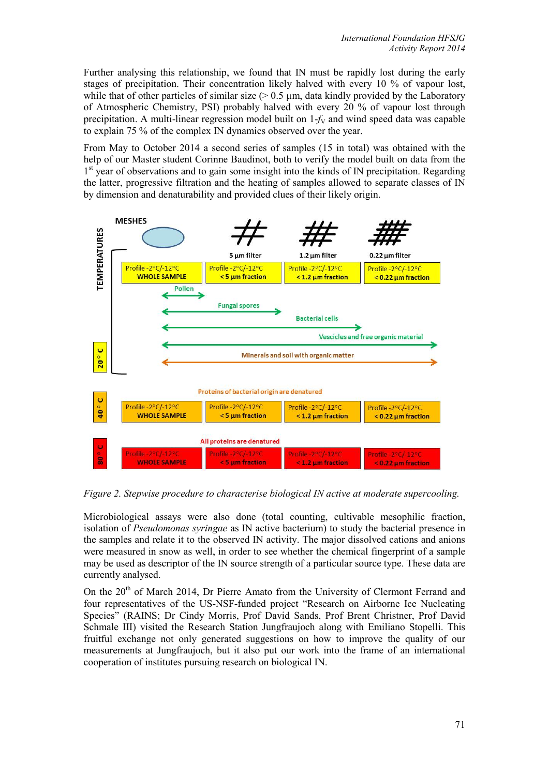Further analysing this relationship, we found that IN must be rapidly lost during the early stages of precipitation. Their concentration likely halved with every 10 % of vapour lost, while that of other particles of similar size  $(> 0.5 \mu m)$ , data kindly provided by the Laboratory of Atmospheric Chemistry, PSI) probably halved with every 20 % of vapour lost through precipitation. A multi-linear regression model built on  $1-f<sub>V</sub>$  and wind speed data was capable to explain 75 % of the complex IN dynamics observed over the year.

From May to October 2014 a second series of samples (15 in total) was obtained with the help of our Master student Corinne Baudinot, both to verify the model built on data from the  $1<sup>st</sup>$  year of observations and to gain some insight into the kinds of IN precipitation. Regarding the latter, progressive filtration and the heating of samples allowed to separate classes of IN by dimension and denaturability and provided clues of their likely origin.



*Figure 2. Stepwise procedure to characterise biological IN active at moderate supercooling.*

Microbiological assays were also done (total counting, cultivable mesophilic fraction, isolation of *Pseudomonas syringae* as IN active bacterium) to study the bacterial presence in the samples and relate it to the observed IN activity. The major dissolved cations and anions were measured in snow as well, in order to see whether the chemical fingerprint of a sample may be used as descriptor of the IN source strength of a particular source type. These data are currently analysed.

On the 20<sup>th</sup> of March 2014, Dr Pierre Amato from the University of Clermont Ferrand and four representatives of the US-NSF-funded project "Research on Airborne Ice Nucleating Species" (RAINS; Dr Cindy Morris, Prof David Sands, Prof Brent Christner, Prof David Schmale III) visited the Research Station Jungfraujoch along with Emiliano Stopelli. This fruitful exchange not only generated suggestions on how to improve the quality of our measurements at Jungfraujoch, but it also put our work into the frame of an international cooperation of institutes pursuing research on biological IN.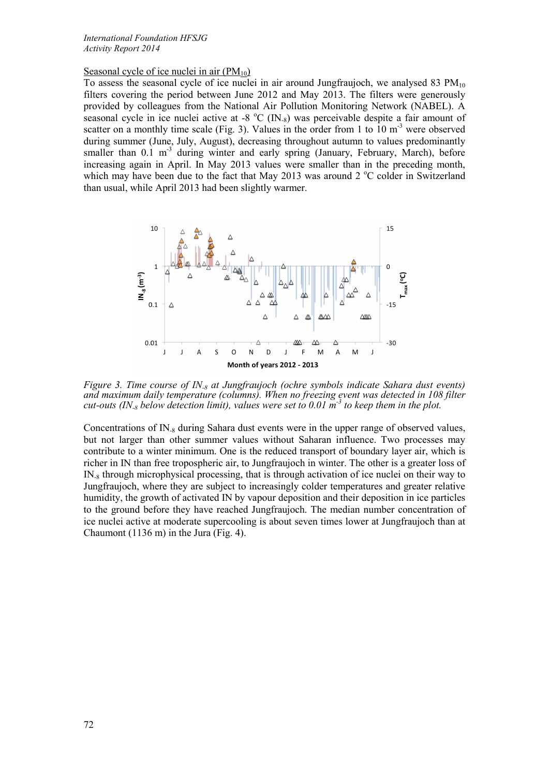## Seasonal cycle of ice nuclei in air  $(PM_{10})$

To assess the seasonal cycle of ice nuclei in air around Jungfraujoch, we analysed 83  $PM_{10}$ filters covering the period between June 2012 and May 2013. The filters were generously provided by colleagues from the National Air Pollution Monitoring Network (NABEL). A seasonal cycle in ice nuclei active at -8  $^{\circ}$ C (IN<sub>-8</sub>) was perceivable despite a fair amount of scatter on a monthly time scale (Fig. 3). Values in the order from 1 to  $10 \text{ m}^3$  were observed during summer (June, July, August), decreasing throughout autumn to values predominantly smaller than  $0.1 \text{ m}^{-3}$  during winter and early spring (January, February, March), before increasing again in April. In May 2013 values were smaller than in the preceding month, which may have been due to the fact that May 2013 was around  $2^{\circ}C$  colder in Switzerland than usual, while April 2013 had been slightly warmer.



*Figure 3. Time course of IN-8 at Jungfraujoch (ochre symbols indicate Sahara dust events) and maximum daily temperature (columns). When no freezing event was detected in 108 filter cut-outs (IN<sub>-8</sub> below detection limit), values were set to 0.01*  $\text{m}^{-3}$  *to keep them in the plot.* 

Concentrations of IN<sub>-8</sub> during Sahara dust events were in the upper range of observed values, but not larger than other summer values without Saharan influence. Two processes may contribute to a winter minimum. One is the reduced transport of boundary layer air, which is richer in IN than free tropospheric air, to Jungfraujoch in winter. The other is a greater loss of  $IN_{\alpha}$  through microphysical processing, that is through activation of ice nuclei on their way to Jungfraujoch, where they are subject to increasingly colder temperatures and greater relative humidity, the growth of activated IN by vapour deposition and their deposition in ice particles to the ground before they have reached Jungfraujoch. The median number concentration of ice nuclei active at moderate supercooling is about seven times lower at Jungfraujoch than at Chaumont (1136 m) in the Jura (Fig. 4).